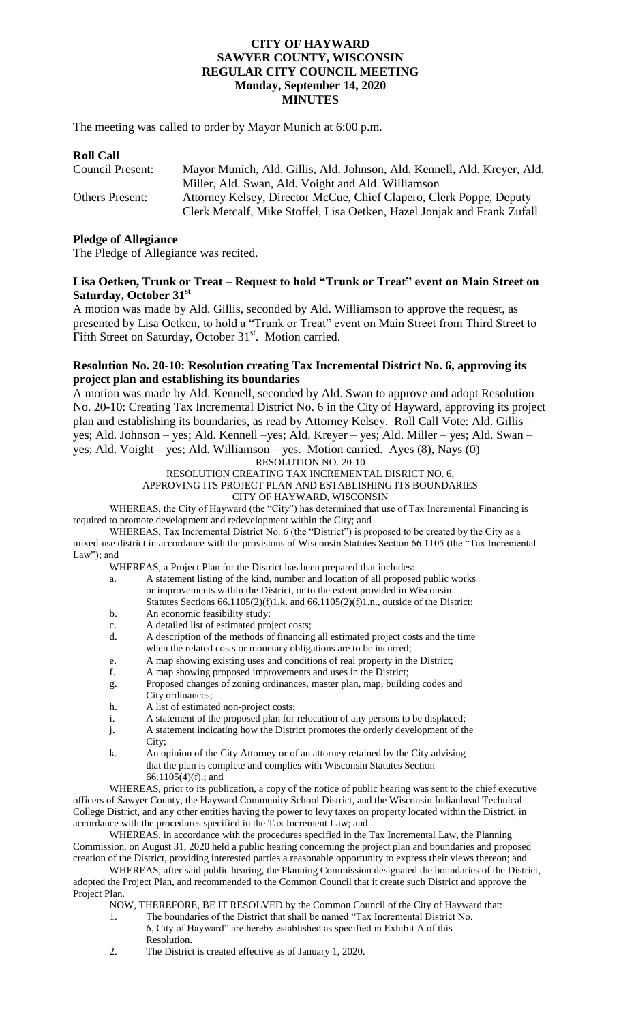#### **CITY OF HAYWARD SAWYER COUNTY, WISCONSIN REGULAR CITY COUNCIL MEETING Monday, September 14, 2020 MINUTES**

The meeting was called to order by Mayor Munich at 6:00 p.m.

## **Roll Call**

| Council Present:       | Mayor Munich, Ald. Gillis, Ald. Johnson, Ald. Kennell, Ald. Kreyer, Ald. |
|------------------------|--------------------------------------------------------------------------|
|                        | Miller, Ald. Swan, Ald. Voight and Ald. Williamson                       |
| <b>Others Present:</b> | Attorney Kelsey, Director McCue, Chief Clapero, Clerk Poppe, Deputy      |
|                        | Clerk Metcalf, Mike Stoffel, Lisa Oetken, Hazel Jonjak and Frank Zufall  |

#### **Pledge of Allegiance**

The Pledge of Allegiance was recited.

#### **Lisa Oetken, Trunk or Treat – Request to hold "Trunk or Treat" event on Main Street on Saturday, October 31st**

A motion was made by Ald. Gillis, seconded by Ald. Williamson to approve the request, as presented by Lisa Oetken, to hold a "Trunk or Treat" event on Main Street from Third Street to Fifth Street on Saturday, October 31<sup>st</sup>. Motion carried.

#### **Resolution No. 20-10: Resolution creating Tax Incremental District No. 6, approving its project plan and establishing its boundaries**

A motion was made by Ald. Kennell, seconded by Ald. Swan to approve and adopt Resolution No. 20-10: Creating Tax Incremental District No. 6 in the City of Hayward, approving its project plan and establishing its boundaries, as read by Attorney Kelsey. Roll Call Vote: Ald. Gillis – yes; Ald. Johnson – yes; Ald. Kennell –yes; Ald. Kreyer – yes; Ald. Miller – yes; Ald. Swan – yes; Ald. Voight – yes; Ald. Williamson – yes. Motion carried. Ayes (8), Nays (0)

# RESOLUTION NO. 20-10

RESOLUTION CREATING TAX INCREMENTAL DISRICT NO. 6, APPROVING ITS PROJECT PLAN AND ESTABLISHING ITS BOUNDARIES

CITY OF HAYWARD, WISCONSIN

WHEREAS, the City of Hayward (the "City") has determined that use of Tax Incremental Financing is required to promote development and redevelopment within the City; and

WHEREAS, Tax Incremental District No. 6 (the "District") is proposed to be created by the City as a mixed-use district in accordance with the provisions of Wisconsin Statutes Section 66.1105 (the "Tax Incremental Law"); and

WHEREAS, a Project Plan for the District has been prepared that includes:

- a. A statement listing of the kind, number and location of all proposed public works or improvements within the District, or to the extent provided in Wisconsin Statutes Sections  $66.1105(2)(f)1.k$ . and  $66.1105(2)(f)1.n$ ., outside of the District;
- b. An economic feasibility study;
- c. A detailed list of estimated project costs;
- d. A description of the methods of financing all estimated project costs and the time when the related costs or monetary obligations are to be incurred;
- e. A map showing existing uses and conditions of real property in the District;<br>f. A map showing proposed improvements and uses in the District:
- A map showing proposed improvements and uses in the District;
- g. Proposed changes of zoning ordinances, master plan, map, building codes and City ordinances;
- h. A list of estimated non-project costs;
- i. A statement of the proposed plan for relocation of any persons to be displaced;
- j. A statement indicating how the District promotes the orderly development of the City;
- k. An opinion of the City Attorney or of an attorney retained by the City advising that the plan is complete and complies with Wisconsin Statutes Section 66.1105(4)(f).; and

WHEREAS, prior to its publication, a copy of the notice of public hearing was sent to the chief executive officers of Sawyer County, the Hayward Community School District, and the Wisconsin Indianhead Technical College District, and any other entities having the power to levy taxes on property located within the District, in accordance with the procedures specified in the Tax Increment Law; and

WHEREAS, in accordance with the procedures specified in the Tax Incremental Law, the Planning Commission, on August 31, 2020 held a public hearing concerning the project plan and boundaries and proposed creation of the District, providing interested parties a reasonable opportunity to express their views thereon; and

WHEREAS, after said public hearing, the Planning Commission designated the boundaries of the District, adopted the Project Plan, and recommended to the Common Council that it create such District and approve the Project Plan.

NOW, THEREFORE, BE IT RESOLVED by the Common Council of the City of Hayward that:

- 1. The boundaries of the District that shall be named "Tax Incremental District No. 6, City of Hayward" are hereby established as specified in Exhibit A of this Resolution.
- 2. The District is created effective as of January 1, 2020.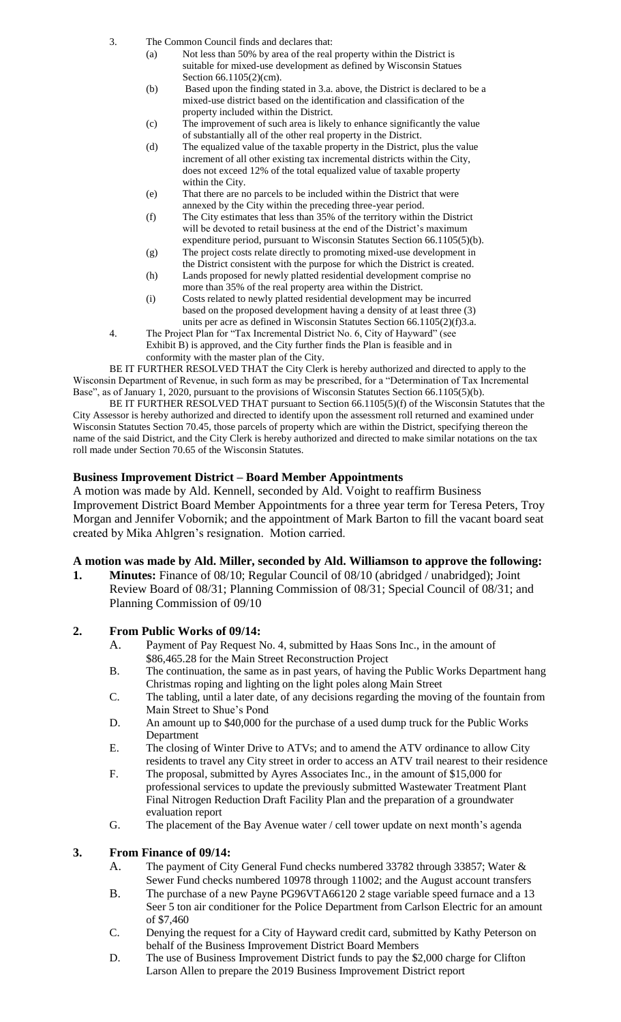- 3. The Common Council finds and declares that:
	- (a) Not less than 50% by area of the real property within the District is suitable for mixed-use development as defined by Wisconsin Statues Section 66.1105(2)(cm).
	- (b) Based upon the finding stated in 3.a. above, the District is declared to be a mixed-use district based on the identification and classification of the property included within the District.
	- (c) The improvement of such area is likely to enhance significantly the value of substantially all of the other real property in the District.
	- (d) The equalized value of the taxable property in the District, plus the value increment of all other existing tax incremental districts within the City, does not exceed 12% of the total equalized value of taxable property within the City.
	- (e) That there are no parcels to be included within the District that were annexed by the City within the preceding three-year period.
	- (f) The City estimates that less than 35% of the territory within the District will be devoted to retail business at the end of the District's maximum expenditure period, pursuant to Wisconsin Statutes Section 66.1105(5)(b).
	- (g) The project costs relate directly to promoting mixed-use development in the District consistent with the purpose for which the District is created.
	- (h) Lands proposed for newly platted residential development comprise no more than 35% of the real property area within the District.
	- (i) Costs related to newly platted residential development may be incurred based on the proposed development having a density of at least three (3) units per acre as defined in Wisconsin Statutes Section 66.1105(2)(f)3.a.
- 4. The Project Plan for "Tax Incremental District No. 6, City of Hayward" (see Exhibit B) is approved, and the City further finds the Plan is feasible and in conformity with the master plan of the City.

BE IT FURTHER RESOLVED THAT the City Clerk is hereby authorized and directed to apply to the Wisconsin Department of Revenue, in such form as may be prescribed, for a "Determination of Tax Incremental Base", as of January 1, 2020, pursuant to the provisions of Wisconsin Statutes Section 66.1105(5)(b).

BE IT FURTHER RESOLVED THAT pursuant to Section 66.1105(5)(f) of the Wisconsin Statutes that the City Assessor is hereby authorized and directed to identify upon the assessment roll returned and examined under Wisconsin Statutes Section 70.45, those parcels of property which are within the District, specifying thereon the name of the said District, and the City Clerk is hereby authorized and directed to make similar notations on the tax roll made under Section 70.65 of the Wisconsin Statutes.

## **Business Improvement District – Board Member Appointments**

A motion was made by Ald. Kennell, seconded by Ald. Voight to reaffirm Business Improvement District Board Member Appointments for a three year term for Teresa Peters, Troy Morgan and Jennifer Vobornik; and the appointment of Mark Barton to fill the vacant board seat created by Mika Ahlgren's resignation. Motion carried.

## **A motion was made by Ald. Miller, seconded by Ald. Williamson to approve the following:**

**1. Minutes:** Finance of 08/10; Regular Council of 08/10 (abridged / unabridged); Joint Review Board of 08/31; Planning Commission of 08/31; Special Council of 08/31; and Planning Commission of 09/10

# **2. From Public Works of 09/14:**

- A. Payment of Pay Request No. 4, submitted by Haas Sons Inc., in the amount of \$86,465.28 for the Main Street Reconstruction Project
- B. The continuation, the same as in past years, of having the Public Works Department hang Christmas roping and lighting on the light poles along Main Street
- C. The tabling, until a later date, of any decisions regarding the moving of the fountain from Main Street to Shue's Pond
- D. An amount up to \$40,000 for the purchase of a used dump truck for the Public Works Department
- E. The closing of Winter Drive to ATVs; and to amend the ATV ordinance to allow City residents to travel any City street in order to access an ATV trail nearest to their residence
- F. The proposal, submitted by Ayres Associates Inc., in the amount of \$15,000 for professional services to update the previously submitted Wastewater Treatment Plant Final Nitrogen Reduction Draft Facility Plan and the preparation of a groundwater evaluation report
- G. The placement of the Bay Avenue water / cell tower update on next month's agenda

## **3. From Finance of 09/14:**

- A. The payment of City General Fund checks numbered 33782 through 33857; Water & Sewer Fund checks numbered 10978 through 11002; and the August account transfers
- B. The purchase of a new Payne PG96VTA66120 2 stage variable speed furnace and a 13 Seer 5 ton air conditioner for the Police Department from Carlson Electric for an amount of \$7,460
- C. Denying the request for a City of Hayward credit card, submitted by Kathy Peterson on behalf of the Business Improvement District Board Members
- D. The use of Business Improvement District funds to pay the \$2,000 charge for Clifton Larson Allen to prepare the 2019 Business Improvement District report